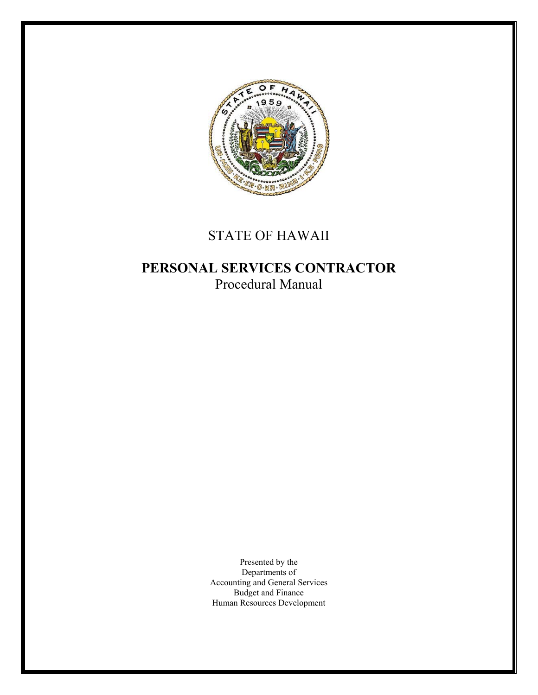

# STATE OF HAWAII

## **PERSONAL SERVICES CONTRACTOR**  Procedural Manual

Presented by the Departments of Accounting and General Services Budget and Finance Human Resources Development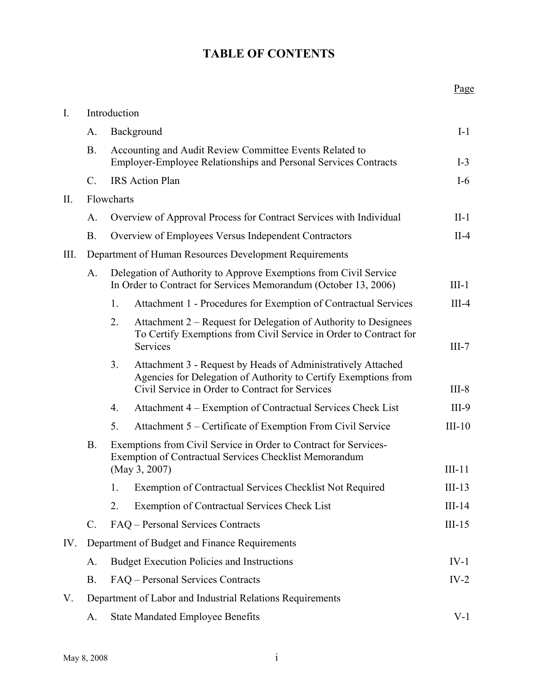#### **TABLE OF CONTENTS**

Page

| $\mathbf{I}$ . | Introduction                                              |                                                                                                                                     |                                                                                                                                                                                    |          |  |  |
|----------------|-----------------------------------------------------------|-------------------------------------------------------------------------------------------------------------------------------------|------------------------------------------------------------------------------------------------------------------------------------------------------------------------------------|----------|--|--|
|                | A.                                                        | Background                                                                                                                          |                                                                                                                                                                                    |          |  |  |
|                | <b>B.</b>                                                 | Accounting and Audit Review Committee Events Related to<br>Employer-Employee Relationships and Personal Services Contracts          |                                                                                                                                                                                    | $I-3$    |  |  |
|                | $\mathcal{C}$ .                                           | <b>IRS</b> Action Plan                                                                                                              |                                                                                                                                                                                    |          |  |  |
| II.            | Flowcharts                                                |                                                                                                                                     |                                                                                                                                                                                    |          |  |  |
|                | A.                                                        | Overview of Approval Process for Contract Services with Individual                                                                  |                                                                                                                                                                                    |          |  |  |
|                | <b>B.</b>                                                 | Overview of Employees Versus Independent Contractors                                                                                |                                                                                                                                                                                    |          |  |  |
| Ш.             | Department of Human Resources Development Requirements    |                                                                                                                                     |                                                                                                                                                                                    |          |  |  |
|                | A.                                                        | Delegation of Authority to Approve Exemptions from Civil Service<br>In Order to Contract for Services Memorandum (October 13, 2006) |                                                                                                                                                                                    |          |  |  |
|                |                                                           | 1.                                                                                                                                  | Attachment 1 - Procedures for Exemption of Contractual Services                                                                                                                    | $III-4$  |  |  |
|                |                                                           | 2.                                                                                                                                  | Attachment 2 – Request for Delegation of Authority to Designees<br>To Certify Exemptions from Civil Service in Order to Contract for<br>Services                                   | $III-7$  |  |  |
|                |                                                           | 3 <sub>1</sub>                                                                                                                      | Attachment 3 - Request by Heads of Administratively Attached<br>Agencies for Delegation of Authority to Certify Exemptions from<br>Civil Service in Order to Contract for Services | $III-8$  |  |  |
|                |                                                           | 4.                                                                                                                                  | Attachment 4 – Exemption of Contractual Services Check List                                                                                                                        | $III-9$  |  |  |
|                |                                                           | 5.                                                                                                                                  | Attachment 5 – Certificate of Exemption From Civil Service                                                                                                                         | $III-10$ |  |  |
|                | <b>B.</b>                                                 | Exemptions from Civil Service in Order to Contract for Services-<br><b>Exemption of Contractual Services Checklist Memorandum</b>   |                                                                                                                                                                                    |          |  |  |
|                |                                                           | (May 3, 2007)                                                                                                                       |                                                                                                                                                                                    | $III-11$ |  |  |
|                |                                                           |                                                                                                                                     | 1. Exemption of Contractual Services Checklist Not Required                                                                                                                        | $III-13$ |  |  |
|                |                                                           | 2.                                                                                                                                  | <b>Exemption of Contractual Services Check List</b>                                                                                                                                | $III-14$ |  |  |
|                | $\mathbf{C}$ .                                            |                                                                                                                                     | FAQ - Personal Services Contracts                                                                                                                                                  | $III-15$ |  |  |
| IV.            | Department of Budget and Finance Requirements             |                                                                                                                                     |                                                                                                                                                                                    |          |  |  |
|                | A.                                                        | <b>Budget Execution Policies and Instructions</b>                                                                                   |                                                                                                                                                                                    |          |  |  |
|                | <b>B.</b>                                                 | FAQ – Personal Services Contracts                                                                                                   |                                                                                                                                                                                    |          |  |  |
| V.             | Department of Labor and Industrial Relations Requirements |                                                                                                                                     |                                                                                                                                                                                    |          |  |  |
|                | A.                                                        |                                                                                                                                     | <b>State Mandated Employee Benefits</b>                                                                                                                                            | $V-1$    |  |  |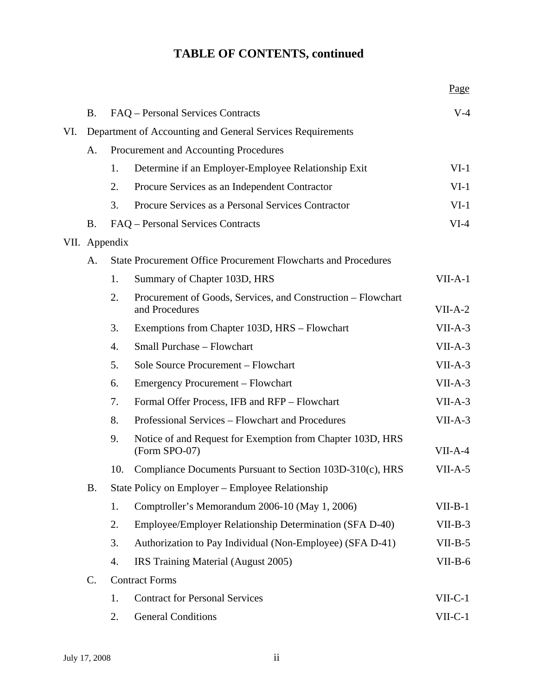## **TABLE OF CONTENTS, continued**

|     |                                                            |                                   |                                                                                | Page      |  |  |  |
|-----|------------------------------------------------------------|-----------------------------------|--------------------------------------------------------------------------------|-----------|--|--|--|
|     | <b>B.</b>                                                  | FAQ – Personal Services Contracts |                                                                                |           |  |  |  |
| VI. | Department of Accounting and General Services Requirements |                                   |                                                                                |           |  |  |  |
|     | A.                                                         |                                   | Procurement and Accounting Procedures                                          |           |  |  |  |
|     |                                                            | 1.                                | Determine if an Employer-Employee Relationship Exit                            | $VI-1$    |  |  |  |
|     |                                                            | 2.                                | Procure Services as an Independent Contractor                                  | $VI-1$    |  |  |  |
|     |                                                            | 3.                                | Procure Services as a Personal Services Contractor                             | $VI-1$    |  |  |  |
|     | <b>B.</b>                                                  | FAQ – Personal Services Contracts |                                                                                | $VI-4$    |  |  |  |
|     |                                                            | VII. Appendix                     |                                                                                |           |  |  |  |
|     | A.                                                         |                                   | <b>State Procurement Office Procurement Flowcharts and Procedures</b>          |           |  |  |  |
|     |                                                            | 1.                                | Summary of Chapter 103D, HRS                                                   | $VII-A-1$ |  |  |  |
|     |                                                            | 2.                                | Procurement of Goods, Services, and Construction - Flowchart<br>and Procedures | $VII-A-2$ |  |  |  |
|     |                                                            | 3.                                | Exemptions from Chapter 103D, HRS - Flowchart                                  | $VII-A-3$ |  |  |  |
|     |                                                            | 4.                                | Small Purchase - Flowchart                                                     | $VII-A-3$ |  |  |  |
|     |                                                            | 5.                                | Sole Source Procurement - Flowchart                                            | $VII-A-3$ |  |  |  |
|     |                                                            | 6.                                | Emergency Procurement - Flowchart                                              | $VII-A-3$ |  |  |  |
|     |                                                            | 7.                                | Formal Offer Process, IFB and RFP - Flowchart                                  | $VII-A-3$ |  |  |  |
|     |                                                            | 8.                                | Professional Services – Flowchart and Procedures                               | $VII-A-3$ |  |  |  |
|     |                                                            | 9.                                | Notice of and Request for Exemption from Chapter 103D, HRS<br>(Form SPO-07)    | $VII-A-4$ |  |  |  |
|     |                                                            | 10.                               | Compliance Documents Pursuant to Section 103D-310(c), HRS                      | $VII-A-5$ |  |  |  |
|     | <b>B.</b>                                                  |                                   | State Policy on Employer – Employee Relationship                               |           |  |  |  |
|     |                                                            | 1.                                | Comptroller's Memorandum 2006-10 (May 1, 2006)                                 | $VII-B-1$ |  |  |  |
|     |                                                            | 2.                                | Employee/Employer Relationship Determination (SFA D-40)                        | $VII-B-3$ |  |  |  |
|     |                                                            | 3.                                | Authorization to Pay Individual (Non-Employee) (SFA D-41)                      | $VII-B-5$ |  |  |  |
|     |                                                            | 4.                                | IRS Training Material (August 2005)                                            | $VII-B-6$ |  |  |  |
|     | $\mathsf{C}$ .                                             | <b>Contract Forms</b>             |                                                                                |           |  |  |  |
|     |                                                            | 1.                                | <b>Contract for Personal Services</b>                                          | $VII-C-1$ |  |  |  |
|     |                                                            | 2.                                | <b>General Conditions</b>                                                      | $VII-C-1$ |  |  |  |